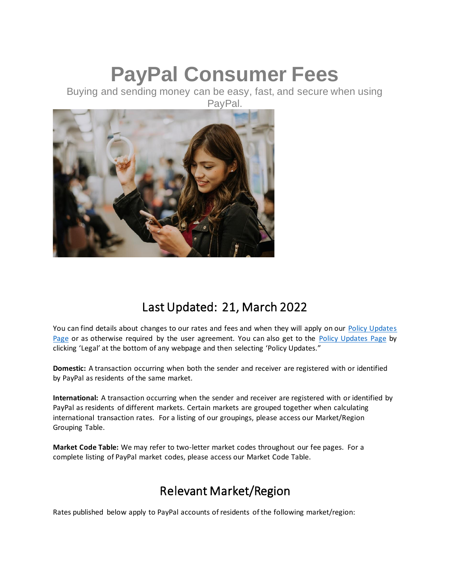# **PayPal Consumer Fees**

Buying and sending money can be easy, fast, and secure when using PayPal.



# Last Updated: 21, March 2022

You can find details about changes to our rates and fees and when they will apply on our [Policy Updates](https://www.paypal.com/us/webapps/mpp/ua/upcoming-policies-full?locale.x=en_US)  [Page](https://www.paypal.com/us/webapps/mpp/ua/upcoming-policies-full?locale.x=en_US) or as otherwise required by the user agreement. You can also get to the [Policy Updates Page](https://www.paypal.com/us/webapps/mpp/ua/upcoming-policies-full?locale.x=en_US) by clicking 'Legal' at the bottom of any webpage and then selecting 'Policy Updates."

**Domestic:** A transaction occurring when both the sender and receiver are registered with or identified by PayPal as residents of the same market.

**International:** A transaction occurring when the sender and receiver are registered with or identified by PayPal as residents of different markets. Certain markets are grouped together when calculating international transaction rates. For a listing of our groupings, please access our Market/Region Grouping Table.

**Market Code Table:** We may refer to two-letter market codes throughout our fee pages. For a complete listing of PayPal market codes, please access our Market Code Table.

# Relevant Market/Region

Rates published below apply to PayPal accounts of residents of the following market/region: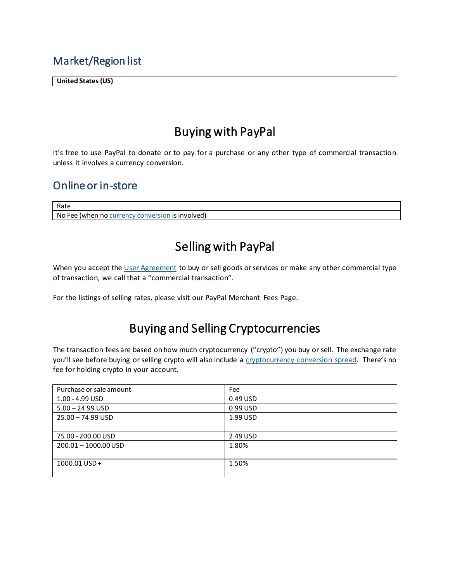### Market/Region list

**United States (US)**

# Buying with PayPal

It's free to use PayPal to donate or to pay for a purchase or any other type of commercial transaction unless it involves a currency conversion.

## Online or in-store

Rate No Fee (when n[o currency conversion](#page-1-0) is involved)

# Selling with PayPal

When you accept th[e User Agreement](https://www.paypal.com/us/webapps/mpp/ua/useragreement-full?locale.x=en_US) to buy or sell goods or services or make any other commercial type of transaction, we call that a "commercial transaction".

<span id="page-1-0"></span>For the listings of selling rates, please visit our PayPal Merchant Fees Page.

# Buying and Selling Cryptocurrencies

The transaction fees are based on how much cryptocurrency ("crypto") you buy or sell. The exchange rate you'll see before buying or selling crypto will also include a [cryptocurrency conversion spread](https://www.paypal.com/us/webapps/mpp/ua/cryptocurrencies-tnc?locale.x=en_US#fees-pricing). There's no fee for holding crypto in your account.

| Purchase or sale amount | Fee      |
|-------------------------|----------|
| 1.00 - 4.99 USD         | 0.49 USD |
| $5.00 - 24.99$ USD      | 0.99 USD |
| 25.00 - 74.99 USD       | 1.99 USD |
|                         |          |
| 75.00 - 200.00 USD      | 2.49 USD |
| $200.01 - 1000.00$ USD  | 1.80%    |
|                         |          |
| $1000.01$ USD +         | 1.50%    |
|                         |          |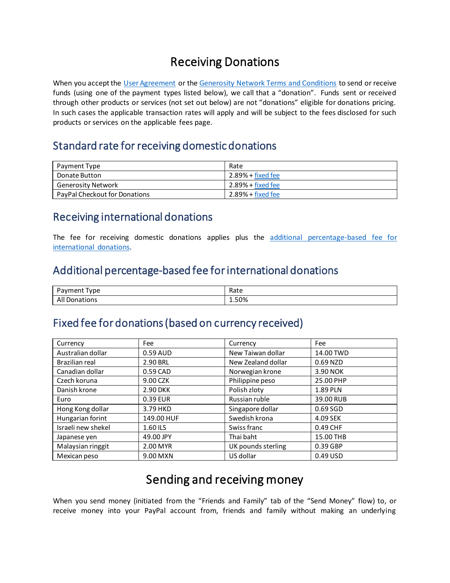# Receiving Donations

When you accept the [User Agreement](https://www.paypal.com/us/webapps/mpp/ua/useragreement-full?locale.x=en_US) or th[e Generosity Network Terms and Conditions](https://www.paypal.com/us/webapps/mpp/ua/generositynetwork-tnc?locale.x=en_US) to send or receive funds (using one of the payment types listed below), we call that a "donation". Funds sent or received through other products or services (not set out below) are not "donations" eligible for donations pricing. In such cases the applicable transaction rates will apply and will be subject to the fees disclosed for such products or services on the applicable fees page.

#### Standard rate for receiving domestic donations

| Payment Type                         | Rate                      |
|--------------------------------------|---------------------------|
| Donate Button                        | $2.89% + fixed$ fixed fee |
| Generosity Network                   | $2.89% + fixed$ fixed fee |
| <b>PayPal Checkout for Donations</b> | $2.89% + fixed$ fixed fee |

### Receiving international donations

The fee for receiving domestic donations applies plus the additional percentage-based fee for [international donations.](#page-2-1)

### <span id="page-2-1"></span>Additional percentage-based fee for international donations

| -<br>l v pe<br>'avment<br>. | Rate  |
|-----------------------------|-------|
| Ali<br>Donations            | 1.50% |

#### <span id="page-2-0"></span>Fixed fee for donations (based on currency received)

| Currency           | Fee        | Currency           | Fee       |
|--------------------|------------|--------------------|-----------|
| Australian dollar  | 0.59 AUD   | New Taiwan dollar  | 14.00 TWD |
| Brazilian real     | 2.90 BRL   | New Zealand dollar | 0.69 NZD  |
| Canadian dollar    | 0.59 CAD   | Norwegian krone    | 3.90 NOK  |
| Czech koruna       | 9.00 CZK   | Philippine peso    | 25.00 PHP |
| Danish krone       | 2.90 DKK   | Polish zloty       | 1.89 PLN  |
| Euro               | 0.39 EUR   | Russian ruble      | 39.00 RUB |
| Hong Kong dollar   | 3.79 HKD   | Singapore dollar   | 0.69 SGD  |
| Hungarian forint   | 149.00 HUF | Swedish krona      | 4.09 SEK  |
| Israeli new shekel | 1.60 ILS   | Swiss franc        | 0.49 CHF  |
| Japanese yen       | 49.00 JPY  | Thai baht          | 15.00 THB |
| Malaysian ringgit  | 2.00 MYR   | UK pounds sterling | 0.39 GBP  |
| Mexican peso       | 9.00 MXN   | US dollar          | 0.49 USD  |

## Sending and receiving money

When you send money (initiated from the "Friends and Family" tab of the "Send Money" flow) to, or receive money into your PayPal account from, friends and family without making an underlying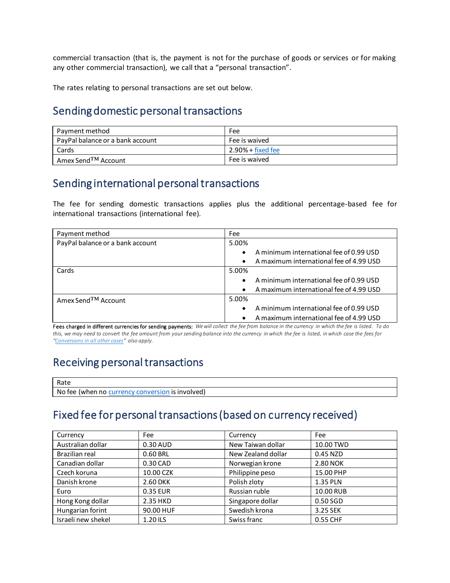commercial transaction (that is, the payment is not for the purchase of goods or services or for making any other commercial transaction), we call that a "personal transaction".

The rates relating to personal transactions are set out below.

#### Sending domestic personal transactions

| Payment method                   | Fee                        |
|----------------------------------|----------------------------|
| PayPal balance or a bank account | Fee is waived              |
| Cards                            | $2.90\% + fixed$ fixed fee |
| Amex Send <sup>TM</sup> Account  | Fee is waived              |

#### Sending international personal transactions

The fee for sending domestic transactions applies plus the additional percentage-based fee for international transactions (international fee).

| Payment method                   | Fee                                                  |
|----------------------------------|------------------------------------------------------|
| PayPal balance or a bank account | 5.00%                                                |
|                                  | A minimum international fee of 0.99 USD<br>$\bullet$ |
|                                  | A maximum international fee of 4.99 USD<br>$\bullet$ |
| Cards                            | 5.00%                                                |
|                                  | A minimum international fee of 0.99 USD<br>$\bullet$ |
|                                  | A maximum international fee of 4.99 USD<br>$\bullet$ |
| Amex Send <sup>TM</sup> Account  | 5.00%                                                |
|                                  | A minimum international fee of 0.99 USD<br>$\bullet$ |
|                                  | A maximum international fee of 4.99 USD<br>$\bullet$ |

Fees charged in different currencies for sending payments: *We will collect the fee from balance in the currency in which the fee is listed. To do this, we may need to convert the fee amount from your sending balance into the currency in which the fee is listed, in which case the fees for "Conversions in all other cases" also apply.*

#### Receiving personal transactions

| Rate                                                |
|-----------------------------------------------------|
| No fee (when no<br>1S<br>involved)<br><b>CULLER</b> |
|                                                     |

## <span id="page-3-0"></span>Fixed fee for personal transactions (based on currency received)

| Currency           | Fee       | Currency           | Fee       |
|--------------------|-----------|--------------------|-----------|
| Australian dollar  | 0.30 AUD  | New Taiwan dollar  | 10.00 TWD |
| Brazilian real     | 0.60 BRL  | New Zealand dollar | 0.45 NZD  |
| Canadian dollar    | 0.30 CAD  | Norwegian krone    | 2.80 NOK  |
| Czech koruna       | 10.00 CZK | Philippine peso    | 15.00 PHP |
| Danish krone       | 2.60 DKK  | Polish zloty       | 1.35 PLN  |
| Euro               | 0.35 EUR  | Russian ruble      | 10.00 RUB |
| Hong Kong dollar   | 2.35 HKD  | Singapore dollar   | 0.50 SGD  |
| Hungarian forint   | 90.00 HUF | Swedish krona      | 3.25 SEK  |
| Israeli new shekel | 1.20 ILS  | Swiss franc        | 0.55 CHF  |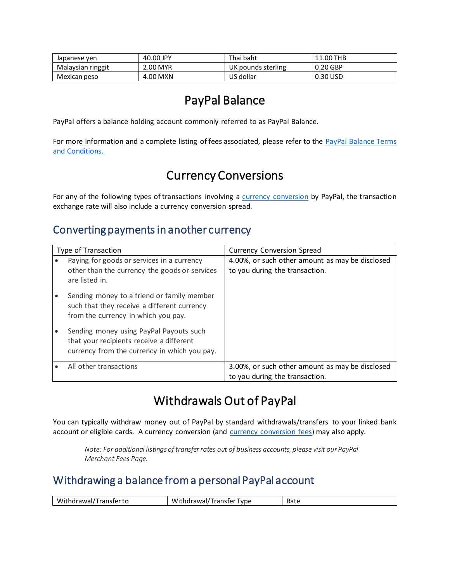| Japanese ven      | 40.00 JPY | Thai baht          | 11.00 THB  |
|-------------------|-----------|--------------------|------------|
| Malaysian ringgit | 2.00 MYR  | UK pounds sterling | $0.20$ GBP |
| Mexican peso      | 4.00 MXN  | US dollar          | 0.30 USD   |

## PayPal Balance

PayPal offers a balance holding account commonly referred to as PayPal Balance.

For more information and a complete listing of fees associated, please refer to the [PayPal Balance](https://www.paypal.com/us/webapps/mpp/ua/cashagreement-full?locale.x=en_US) Terms [and Conditions.](https://www.paypal.com/us/webapps/mpp/ua/cashagreement-full?locale.x=en_US)

## Currency Conversions

For any of the following types of transactions involving a [currency conversion](https://www.paypal.com/us/webapps/mpp/ua/useragreement-full?locale.x=en_US#currency-conversion) by PayPal, the transaction exchange rate will also include a currency conversion spread.

## Converting payments in another currency

| Type of Transaction                                                                                                                 | <b>Currency Conversion Spread</b>                                                 |
|-------------------------------------------------------------------------------------------------------------------------------------|-----------------------------------------------------------------------------------|
| Paying for goods or services in a currency<br>other than the currency the goods or services<br>are listed in.                       | 4.00%, or such other amount as may be disclosed<br>to you during the transaction. |
| Sending money to a friend or family member<br>such that they receive a different currency<br>from the currency in which you pay.    |                                                                                   |
| Sending money using PayPal Payouts such<br>that your recipients receive a different<br>currency from the currency in which you pay. |                                                                                   |
| All other transactions                                                                                                              | 3.00%, or such other amount as may be disclosed<br>to you during the transaction. |

# Withdrawals Out of PayPal

You can typically withdraw money out of PayPal by standard withdrawals/transfers to your linked bank account or eligible cards. A currency conversion (and [currency conversion fees\)](#page-1-0) may also apply.

*Note: For additional listings of transfer rates out of business accounts, please visit our PayPal Merchant Fees Page.*

## Withdrawing a balance from a personal PayPal account

| Withdı<br>Transfer to<br>drawal <sub>/</sub><br>ิเบ | .<br>Withdrawal/<br>Transfer Type | $D \circ t$<br>nalt |
|-----------------------------------------------------|-----------------------------------|---------------------|
|                                                     |                                   |                     |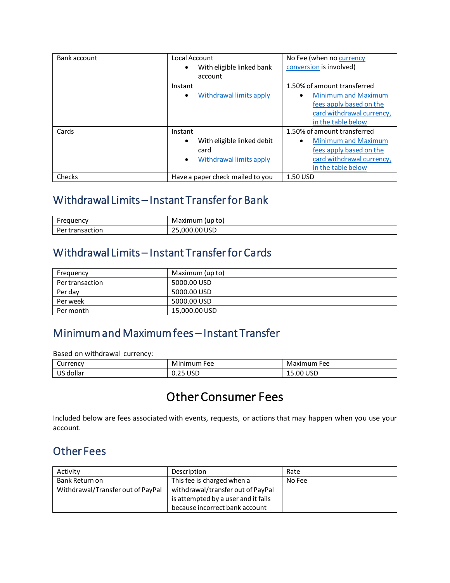| Bank account | Local Account<br>With eligible linked bank<br>account                                   | No Fee (when no currency<br>conversion is involved)                                                                   |
|--------------|-----------------------------------------------------------------------------------------|-----------------------------------------------------------------------------------------------------------------------|
|              | Instant                                                                                 | 1.50% of amount transferred                                                                                           |
|              | Withdrawal limits apply                                                                 | <b>Minimum and Maximum</b><br>fees apply based on the<br>card withdrawal currency,<br>in the table below              |
| Cards        | Instant                                                                                 | 1.50% of amount transferred                                                                                           |
|              | With eligible linked debit<br>$\bullet$<br>card<br>Withdrawal limits apply<br>$\bullet$ | <b>Minimum and Maximum</b><br>$\bullet$<br>fees apply based on the<br>card withdrawal currency,<br>in the table below |
| Checks       | Have a paper check mailed to you                                                        | 1.50 USD                                                                                                              |

## <span id="page-5-1"></span>Withdrawal Limits – Instant Transfer for Bank

| $\overline{\phantom{0}}$<br>$\sim$<br>iuenci<br>ີ | to)<br>Maximum<br>up)          |
|---------------------------------------------------|--------------------------------|
| $\cdots$<br>חטו<br>sdl<br>cı                      | ∵000.00 <i>ر.</i><br>USD<br>-- |

## <span id="page-5-2"></span>Withdrawal Limits – Instant Transfer for Cards

| Frequency       | Maximum (up to) |
|-----------------|-----------------|
| Per transaction | 5000.00 USD     |
| Per day         | 5000.00 USD     |
| Per week        | 5000.00 USD     |
| Per month       | 15.000.00 USD   |

## <span id="page-5-0"></span>Minimum and Maximum fees – Instant Transfer

Based on withdrawal currency:

| -<br>Currency          | Mi<br>Fee<br>'inimum            | Maximum<br>Fee |
|------------------------|---------------------------------|----------------|
| $\sim$<br>dollar<br>ັບ | $\sim$<br>บรม<br>. .<br><b></b> | 15.00 USD      |

## Other Consumer Fees

Included below are fees associated with events, requests, or actions that may happen when you use your account.

## Other Fees

| Activity                          | Description                         | Rate   |
|-----------------------------------|-------------------------------------|--------|
| Bank Return on                    | This fee is charged when a          | No Fee |
| Withdrawal/Transfer out of PayPal | withdrawal/transfer out of PayPal   |        |
|                                   | is attempted by a user and it fails |        |
|                                   | because incorrect bank account      |        |